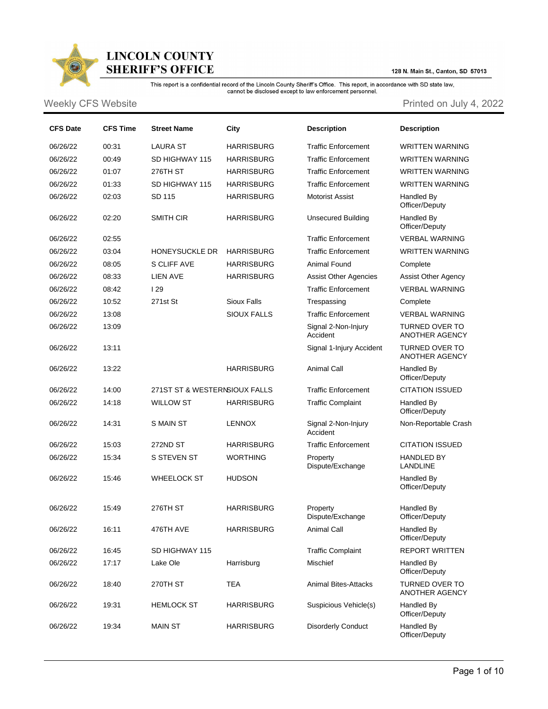

## **LINCOLN COUNTY SHERIFF'S OFFICE**

128 N. Main St., Canton, SD 57013

This report is a confidential record of the Lincoln County Sheriff's Office. This report, in accordance with SD state law,<br>cannot be disclosed except to law enforcement personnel.

Weekly CFS Website **Printed on July 4, 2022** 

| <b>CFS Date</b> | <b>CFS Time</b> | <b>Street Name</b>            | City               | <b>Description</b>              | <b>Description</b>                             |
|-----------------|-----------------|-------------------------------|--------------------|---------------------------------|------------------------------------------------|
| 06/26/22        | 00:31           | <b>LAURA ST</b>               | <b>HARRISBURG</b>  | <b>Traffic Enforcement</b>      | <b>WRITTEN WARNING</b>                         |
| 06/26/22        | 00:49           | SD HIGHWAY 115                | <b>HARRISBURG</b>  | <b>Traffic Enforcement</b>      | <b>WRITTEN WARNING</b>                         |
| 06/26/22        | 01:07           | 276TH ST                      | <b>HARRISBURG</b>  | <b>Traffic Enforcement</b>      | <b>WRITTEN WARNING</b>                         |
| 06/26/22        | 01:33           | SD HIGHWAY 115                | <b>HARRISBURG</b>  | <b>Traffic Enforcement</b>      | <b>WRITTEN WARNING</b>                         |
| 06/26/22        | 02:03           | SD 115                        | <b>HARRISBURG</b>  | <b>Motorist Assist</b>          | Handled By<br>Officer/Deputy                   |
| 06/26/22        | 02:20           | <b>SMITH CIR</b>              | <b>HARRISBURG</b>  | <b>Unsecured Building</b>       | Handled By<br>Officer/Deputy                   |
| 06/26/22        | 02:55           |                               |                    | <b>Traffic Enforcement</b>      | <b>VERBAL WARNING</b>                          |
| 06/26/22        | 03:04           | HONEYSUCKLE DR                | <b>HARRISBURG</b>  | <b>Traffic Enforcement</b>      | <b>WRITTEN WARNING</b>                         |
| 06/26/22        | 08:05           | S CLIFF AVE                   | <b>HARRISBURG</b>  | <b>Animal Found</b>             | Complete                                       |
| 06/26/22        | 08:33           | <b>LIEN AVE</b>               | <b>HARRISBURG</b>  | <b>Assist Other Agencies</b>    | <b>Assist Other Agency</b>                     |
| 06/26/22        | 08:42           | 129                           |                    | <b>Traffic Enforcement</b>      | <b>VERBAL WARNING</b>                          |
| 06/26/22        | 10:52           | 271st St                      | <b>Sioux Falls</b> | Trespassing                     | Complete                                       |
| 06/26/22        | 13:08           |                               | <b>SIOUX FALLS</b> | <b>Traffic Enforcement</b>      | <b>VERBAL WARNING</b>                          |
| 06/26/22        | 13:09           |                               |                    | Signal 2-Non-Injury<br>Accident | TURNED OVER TO<br>ANOTHER AGENCY               |
| 06/26/22        | 13:11           |                               |                    | Signal 1-Injury Accident        | <b>TURNED OVER TO</b><br><b>ANOTHER AGENCY</b> |
| 06/26/22        | 13:22           |                               | <b>HARRISBURG</b>  | <b>Animal Call</b>              | Handled By<br>Officer/Deputy                   |
| 06/26/22        | 14:00           | 271ST ST & WESTERNSIOUX FALLS |                    | <b>Traffic Enforcement</b>      | <b>CITATION ISSUED</b>                         |
| 06/26/22        | 14:18           | <b>WILLOW ST</b>              | <b>HARRISBURG</b>  | <b>Traffic Complaint</b>        | Handled By<br>Officer/Deputy                   |
| 06/26/22        | 14:31           | S MAIN ST                     | <b>LENNOX</b>      | Signal 2-Non-Injury<br>Accident | Non-Reportable Crash                           |
| 06/26/22        | 15:03           | 272ND ST                      | <b>HARRISBURG</b>  | <b>Traffic Enforcement</b>      | <b>CITATION ISSUED</b>                         |
| 06/26/22        | 15:34           | S STEVEN ST                   | <b>WORTHING</b>    | Property<br>Dispute/Exchange    | <b>HANDLED BY</b><br><b>LANDLINE</b>           |
| 06/26/22        | 15:46           | <b>WHEELOCK ST</b>            | <b>HUDSON</b>      |                                 | Handled By<br>Officer/Deputy                   |
| 06/26/22        | 15:49           | 276TH ST                      | <b>HARRISBURG</b>  | Property<br>Dispute/Exchange    | Handled By<br>Officer/Deputy                   |
| 06/26/22        | 16:11           | 476TH AVE                     | <b>HARRISBURG</b>  | <b>Animal Call</b>              | Handled By<br>Officer/Deputy                   |
| 06/26/22        | 16:45           | SD HIGHWAY 115                |                    | <b>Traffic Complaint</b>        | <b>REPORT WRITTEN</b>                          |
| 06/26/22        | 17:17           | Lake Ole                      | Harrisburg         | Mischief                        | Handled By<br>Officer/Deputy                   |
| 06/26/22        | 18:40           | 270TH ST                      | TEA                | Animal Bites-Attacks            | <b>TURNED OVER TO</b><br>ANOTHER AGENCY        |
| 06/26/22        | 19:31           | <b>HEMLOCK ST</b>             | <b>HARRISBURG</b>  | Suspicious Vehicle(s)           | Handled By<br>Officer/Deputy                   |
| 06/26/22        | 19:34           | <b>MAIN ST</b>                | <b>HARRISBURG</b>  | <b>Disorderly Conduct</b>       | Handled By<br>Officer/Deputy                   |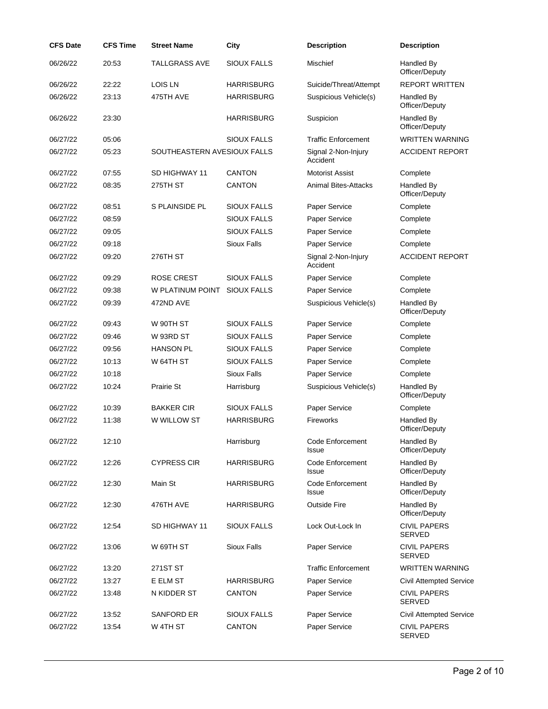| <b>CFS Date</b> | <b>CFS Time</b> | <b>Street Name</b>          | City               | <b>Description</b>              | <b>Description</b>                   |
|-----------------|-----------------|-----------------------------|--------------------|---------------------------------|--------------------------------------|
| 06/26/22        | 20:53           | <b>TALLGRASS AVE</b>        | <b>SIOUX FALLS</b> | Mischief                        | Handled By<br>Officer/Deputy         |
| 06/26/22        | 22:22           | <b>LOIS LN</b>              | <b>HARRISBURG</b>  | Suicide/Threat/Attempt          | <b>REPORT WRITTEN</b>                |
| 06/26/22        | 23:13           | 475TH AVE                   | <b>HARRISBURG</b>  | Suspicious Vehicle(s)           | Handled By<br>Officer/Deputy         |
| 06/26/22        | 23:30           |                             | <b>HARRISBURG</b>  | Suspicion                       | Handled By<br>Officer/Deputy         |
| 06/27/22        | 05:06           |                             | <b>SIOUX FALLS</b> | <b>Traffic Enforcement</b>      | <b>WRITTEN WARNING</b>               |
| 06/27/22        | 05:23           | SOUTHEASTERN AVESIOUX FALLS |                    | Signal 2-Non-Injury<br>Accident | <b>ACCIDENT REPORT</b>               |
| 06/27/22        | 07:55           | SD HIGHWAY 11               | <b>CANTON</b>      | <b>Motorist Assist</b>          | Complete                             |
| 06/27/22        | 08:35           | 275TH ST                    | <b>CANTON</b>      | <b>Animal Bites-Attacks</b>     | Handled By<br>Officer/Deputy         |
| 06/27/22        | 08:51           | S PLAINSIDE PL              | <b>SIOUX FALLS</b> | Paper Service                   | Complete                             |
| 06/27/22        | 08:59           |                             | <b>SIOUX FALLS</b> | Paper Service                   | Complete                             |
| 06/27/22        | 09:05           |                             | <b>SIOUX FALLS</b> | Paper Service                   | Complete                             |
| 06/27/22        | 09:18           |                             | <b>Sioux Falls</b> | Paper Service                   | Complete                             |
| 06/27/22        | 09:20           | 276TH ST                    |                    | Signal 2-Non-Injury<br>Accident | <b>ACCIDENT REPORT</b>               |
| 06/27/22        | 09:29           | <b>ROSE CREST</b>           | <b>SIOUX FALLS</b> | Paper Service                   | Complete                             |
| 06/27/22        | 09:38           | W PLATINUM POINT            | <b>SIOUX FALLS</b> | Paper Service                   | Complete                             |
| 06/27/22        | 09:39           | 472ND AVE                   |                    | Suspicious Vehicle(s)           | Handled By<br>Officer/Deputy         |
| 06/27/22        | 09:43           | W 90TH ST                   | <b>SIOUX FALLS</b> | Paper Service                   | Complete                             |
| 06/27/22        | 09:46           | W 93RD ST                   | <b>SIOUX FALLS</b> | Paper Service                   | Complete                             |
| 06/27/22        | 09:56           | <b>HANSON PL</b>            | <b>SIOUX FALLS</b> | Paper Service                   | Complete                             |
| 06/27/22        | 10:13           | W 64TH ST                   | <b>SIOUX FALLS</b> | Paper Service                   | Complete                             |
| 06/27/22        | 10:18           |                             | <b>Sioux Falls</b> | Paper Service                   | Complete                             |
| 06/27/22        | 10:24           | Prairie St                  | Harrisburg         | Suspicious Vehicle(s)           | Handled By<br>Officer/Deputy         |
| 06/27/22        | 10:39           | <b>BAKKER CIR</b>           | <b>SIOUX FALLS</b> | Paper Service                   | Complete                             |
| 06/27/22        | 11:38           | W WILLOW ST                 | <b>HARRISBURG</b>  | <b>Fireworks</b>                | Handled By<br>Officer/Deputy         |
| 06/27/22        | 12:10           |                             | Harrisburg         | Code Enforcement<br>Issue       | Handled By<br>Officer/Deputy         |
| 06/27/22        | 12:26           | <b>CYPRESS CIR</b>          | <b>HARRISBURG</b>  | Code Enforcement<br>Issue       | Handled By<br>Officer/Deputy         |
| 06/27/22        | 12:30           | Main St                     | <b>HARRISBURG</b>  | Code Enforcement<br>Issue       | Handled By<br>Officer/Deputy         |
| 06/27/22        | 12:30           | 476TH AVE                   | <b>HARRISBURG</b>  | <b>Outside Fire</b>             | Handled By<br>Officer/Deputy         |
| 06/27/22        | 12:54           | SD HIGHWAY 11               | <b>SIOUX FALLS</b> | Lock Out-Lock In                | <b>CIVIL PAPERS</b><br><b>SERVED</b> |
| 06/27/22        | 13:06           | W 69TH ST                   | <b>Sioux Falls</b> | Paper Service                   | <b>CIVIL PAPERS</b><br><b>SERVED</b> |
| 06/27/22        | 13:20           | 271ST ST                    |                    | <b>Traffic Enforcement</b>      | <b>WRITTEN WARNING</b>               |
| 06/27/22        | 13:27           | E ELM ST                    | <b>HARRISBURG</b>  | Paper Service                   | <b>Civil Attempted Service</b>       |
| 06/27/22        | 13:48           | N KIDDER ST                 | <b>CANTON</b>      | Paper Service                   | <b>CIVIL PAPERS</b><br>SERVED        |
| 06/27/22        | 13:52           | SANFORD ER                  | <b>SIOUX FALLS</b> | Paper Service                   | <b>Civil Attempted Service</b>       |
| 06/27/22        | 13:54           | W 4TH ST                    | <b>CANTON</b>      | Paper Service                   | <b>CIVIL PAPERS</b><br><b>SERVED</b> |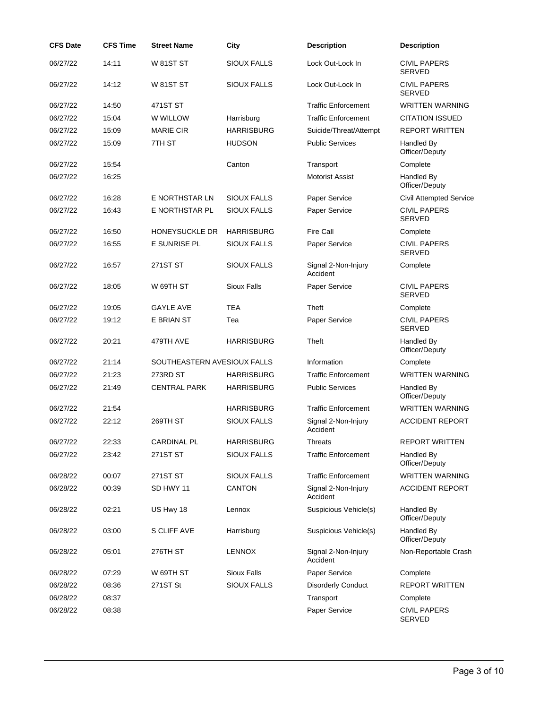| <b>CFS Date</b> | <b>CFS Time</b> | <b>Street Name</b>          | City               | <b>Description</b>              | <b>Description</b>                   |
|-----------------|-----------------|-----------------------------|--------------------|---------------------------------|--------------------------------------|
| 06/27/22        | 14:11           | <b>W 81ST ST</b>            | <b>SIOUX FALLS</b> | Lock Out-Lock In                | <b>CIVIL PAPERS</b><br><b>SERVED</b> |
| 06/27/22        | 14:12           | <b>W 81ST ST</b>            | <b>SIOUX FALLS</b> | Lock Out-Lock In                | <b>CIVIL PAPERS</b><br><b>SERVED</b> |
| 06/27/22        | 14:50           | 471ST ST                    |                    | <b>Traffic Enforcement</b>      | <b>WRITTEN WARNING</b>               |
| 06/27/22        | 15:04           | W WILLOW                    | Harrisburg         | <b>Traffic Enforcement</b>      | <b>CITATION ISSUED</b>               |
| 06/27/22        | 15:09           | <b>MARIE CIR</b>            | <b>HARRISBURG</b>  | Suicide/Threat/Attempt          | <b>REPORT WRITTEN</b>                |
| 06/27/22        | 15:09           | 7TH ST                      | <b>HUDSON</b>      | <b>Public Services</b>          | Handled By<br>Officer/Deputy         |
| 06/27/22        | 15:54           |                             | Canton             | Transport                       | Complete                             |
| 06/27/22        | 16:25           |                             |                    | <b>Motorist Assist</b>          | Handled By<br>Officer/Deputy         |
| 06/27/22        | 16:28           | E NORTHSTAR LN              | <b>SIOUX FALLS</b> | Paper Service                   | <b>Civil Attempted Service</b>       |
| 06/27/22        | 16:43           | E NORTHSTAR PL              | SIOUX FALLS        | Paper Service                   | <b>CIVIL PAPERS</b><br><b>SERVED</b> |
| 06/27/22        | 16:50           | HONEYSUCKLE DR              | <b>HARRISBURG</b>  | <b>Fire Call</b>                | Complete                             |
| 06/27/22        | 16:55           | E SUNRISE PL                | <b>SIOUX FALLS</b> | Paper Service                   | <b>CIVIL PAPERS</b><br><b>SERVED</b> |
| 06/27/22        | 16:57           | 271ST ST                    | <b>SIOUX FALLS</b> | Signal 2-Non-Injury<br>Accident | Complete                             |
| 06/27/22        | 18:05           | W 69TH ST                   | <b>Sioux Falls</b> | Paper Service                   | <b>CIVIL PAPERS</b><br><b>SERVED</b> |
| 06/27/22        | 19:05           | <b>GAYLE AVE</b>            | <b>TEA</b>         | Theft                           | Complete                             |
| 06/27/22        | 19:12           | <b>E BRIAN ST</b>           | Tea                | Paper Service                   | <b>CIVIL PAPERS</b><br><b>SERVED</b> |
| 06/27/22        | 20:21           | 479TH AVE                   | <b>HARRISBURG</b>  | Theft                           | Handled By<br>Officer/Deputy         |
| 06/27/22        | 21:14           | SOUTHEASTERN AVESIOUX FALLS |                    | Information                     | Complete                             |
| 06/27/22        | 21:23           | 273RD ST                    | <b>HARRISBURG</b>  | <b>Traffic Enforcement</b>      | <b>WRITTEN WARNING</b>               |
| 06/27/22        | 21:49           | <b>CENTRAL PARK</b>         | <b>HARRISBURG</b>  | <b>Public Services</b>          | Handled By<br>Officer/Deputy         |
| 06/27/22        | 21:54           |                             | <b>HARRISBURG</b>  | <b>Traffic Enforcement</b>      | <b>WRITTEN WARNING</b>               |
| 06/27/22        | 22:12           | 269TH ST                    | <b>SIOUX FALLS</b> | Signal 2-Non-Injury<br>Accident | <b>ACCIDENT REPORT</b>               |
| 06/27/22        | 22:33           | <b>CARDINAL PL</b>          | <b>HARRISBURG</b>  | <b>Threats</b>                  | <b>REPORT WRITTEN</b>                |
| 06/27/22        | 23:42           | 271ST ST                    | <b>SIOUX FALLS</b> | <b>Traffic Enforcement</b>      | Handled By<br>Officer/Deputy         |
| 06/28/22        | 00:07           | 271ST ST                    | <b>SIOUX FALLS</b> | <b>Traffic Enforcement</b>      | <b>WRITTEN WARNING</b>               |
| 06/28/22        | 00:39           | SD HWY 11                   | <b>CANTON</b>      | Signal 2-Non-Injury<br>Accident | <b>ACCIDENT REPORT</b>               |
| 06/28/22        | 02:21           | US Hwy 18                   | Lennox             | Suspicious Vehicle(s)           | Handled By<br>Officer/Deputy         |
| 06/28/22        | 03:00           | S CLIFF AVE                 | Harrisburg         | Suspicious Vehicle(s)           | Handled By<br>Officer/Deputy         |
| 06/28/22        | 05:01           | 276TH ST                    | <b>LENNOX</b>      | Signal 2-Non-Injury<br>Accident | Non-Reportable Crash                 |
| 06/28/22        | 07:29           | W 69TH ST                   | <b>Sioux Falls</b> | Paper Service                   | Complete                             |
| 06/28/22        | 08:36           | 271ST St                    | <b>SIOUX FALLS</b> | <b>Disorderly Conduct</b>       | <b>REPORT WRITTEN</b>                |
| 06/28/22        | 08:37           |                             |                    | Transport                       | Complete                             |
| 06/28/22        | 08:38           |                             |                    | Paper Service                   | <b>CIVIL PAPERS</b><br><b>SERVED</b> |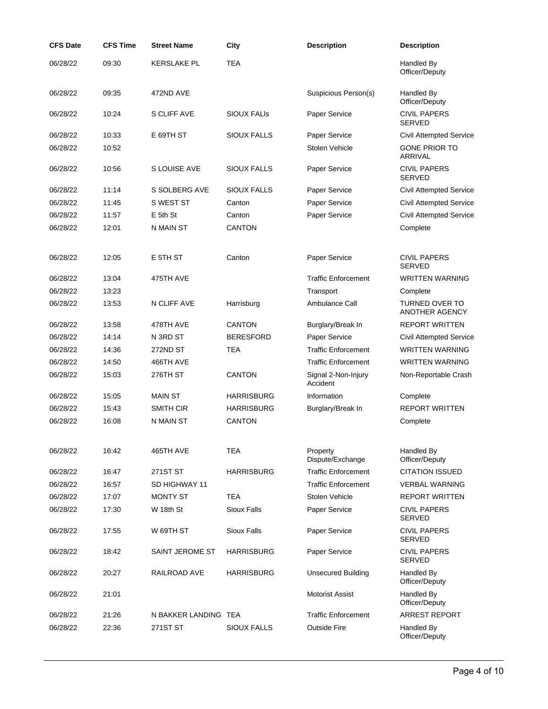| <b>CFS Date</b> | <b>CFS Time</b> | <b>Street Name</b>   | City               | <b>Description</b>              | <b>Description</b>                      |
|-----------------|-----------------|----------------------|--------------------|---------------------------------|-----------------------------------------|
| 06/28/22        | 09:30           | <b>KERSLAKE PL</b>   | <b>TEA</b>         |                                 | Handled By<br>Officer/Deputy            |
| 06/28/22        | 09:35           | 472ND AVE            |                    | Suspicious Person(s)            | Handled By<br>Officer/Deputy            |
| 06/28/22        | 10:24           | S CLIFF AVE          | <b>SIOUX FALIS</b> | Paper Service                   | <b>CIVIL PAPERS</b><br><b>SERVED</b>    |
| 06/28/22        | 10:33           | E 69TH ST            | <b>SIOUX FALLS</b> | Paper Service                   | <b>Civil Attempted Service</b>          |
| 06/28/22        | 10:52           |                      |                    | Stolen Vehicle                  | <b>GONE PRIOR TO</b><br><b>ARRIVAL</b>  |
| 06/28/22        | 10:56           | S LOUISE AVE         | <b>SIOUX FALLS</b> | Paper Service                   | <b>CIVIL PAPERS</b><br><b>SERVED</b>    |
| 06/28/22        | 11:14           | S SOLBERG AVE        | <b>SIOUX FALLS</b> | Paper Service                   | <b>Civil Attempted Service</b>          |
| 06/28/22        | 11:45           | S WEST ST            | Canton             | <b>Paper Service</b>            | <b>Civil Attempted Service</b>          |
| 06/28/22        | 11:57           | $E$ 5th $St$         | Canton             | Paper Service                   | <b>Civil Attempted Service</b>          |
| 06/28/22        | 12:01           | N MAIN ST            | <b>CANTON</b>      |                                 | Complete                                |
| 06/28/22        | 12:05           | E 5TH ST             | Canton             | Paper Service                   | <b>CIVIL PAPERS</b><br><b>SERVED</b>    |
| 06/28/22        | 13:04           | 475TH AVE            |                    | <b>Traffic Enforcement</b>      | <b>WRITTEN WARNING</b>                  |
| 06/28/22        | 13:23           |                      |                    | Transport                       | Complete                                |
| 06/28/22        | 13:53           | N CLIFF AVE          | Harrisburg         | Ambulance Call                  | <b>TURNED OVER TO</b><br>ANOTHER AGENCY |
| 06/28/22        | 13:58           | 478TH AVE            | <b>CANTON</b>      | Burglary/Break In               | <b>REPORT WRITTEN</b>                   |
| 06/28/22        | 14:14           | N 3RD ST             | <b>BERESFORD</b>   | Paper Service                   | <b>Civil Attempted Service</b>          |
| 06/28/22        | 14:36           | 272ND ST             | <b>TEA</b>         | <b>Traffic Enforcement</b>      | <b>WRITTEN WARNING</b>                  |
| 06/28/22        | 14:50           | 466TH AVE            |                    | <b>Traffic Enforcement</b>      | <b>WRITTEN WARNING</b>                  |
| 06/28/22        | 15:03           | 276TH ST             | <b>CANTON</b>      | Signal 2-Non-Injury<br>Accident | Non-Reportable Crash                    |
| 06/28/22        | 15:05           | <b>MAIN ST</b>       | <b>HARRISBURG</b>  | Information                     | Complete                                |
| 06/28/22        | 15:43           | SMITH CIR            | <b>HARRISBURG</b>  | Burglary/Break In               | <b>REPORT WRITTEN</b>                   |
| 06/28/22        | 16:08           | N MAIN ST            | <b>CANTON</b>      |                                 | Complete                                |
| 06/28/22        | 16:42           | 465TH AVE            | <b>TEA</b>         | Property<br>Dispute/Exchange    | Handled By<br>Officer/Deputy            |
| 06/28/22        | 16:47           | 271ST ST             | <b>HARRISBURG</b>  | <b>Traffic Enforcement</b>      | <b>CITATION ISSUED</b>                  |
| 06/28/22        | 16:57           | SD HIGHWAY 11        |                    | <b>Traffic Enforcement</b>      | <b>VERBAL WARNING</b>                   |
| 06/28/22        | 17:07           | <b>MONTY ST</b>      | <b>TEA</b>         | Stolen Vehicle                  | <b>REPORT WRITTEN</b>                   |
| 06/28/22        | 17:30           | W 18th St            | <b>Sioux Falls</b> | Paper Service                   | <b>CIVIL PAPERS</b><br><b>SERVED</b>    |
| 06/28/22        | 17:55           | W 69TH ST            | <b>Sioux Falls</b> | Paper Service                   | <b>CIVIL PAPERS</b><br><b>SERVED</b>    |
| 06/28/22        | 18:42           | SAINT JEROME ST      | <b>HARRISBURG</b>  | Paper Service                   | <b>CIVIL PAPERS</b><br><b>SERVED</b>    |
| 06/28/22        | 20:27           | RAILROAD AVE         | <b>HARRISBURG</b>  | <b>Unsecured Building</b>       | Handled By<br>Officer/Deputy            |
| 06/28/22        | 21:01           |                      |                    | <b>Motorist Assist</b>          | Handled By<br>Officer/Deputy            |
| 06/28/22        | 21:26           | N BAKKER LANDING TEA |                    | <b>Traffic Enforcement</b>      | <b>ARREST REPORT</b>                    |
| 06/28/22        | 22:36           | 271ST ST             | <b>SIOUX FALLS</b> | <b>Outside Fire</b>             | Handled By<br>Officer/Deputy            |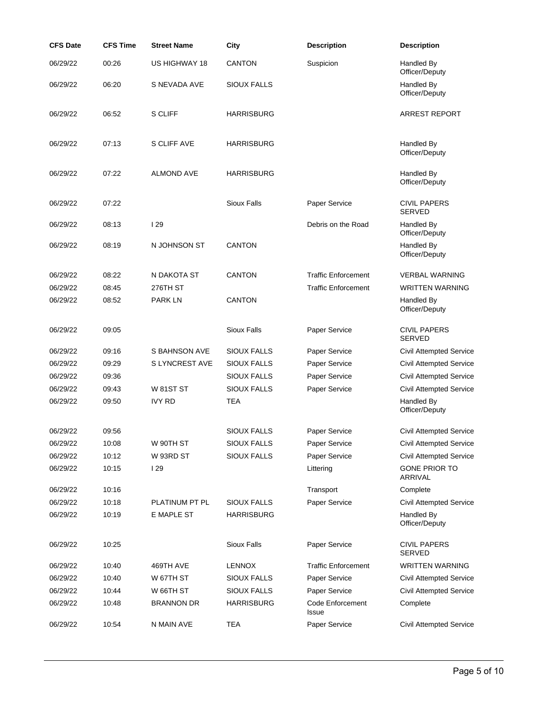| <b>CFS Date</b> | <b>CFS Time</b> | <b>Street Name</b> | City               | <b>Description</b>         | <b>Description</b>                   |
|-----------------|-----------------|--------------------|--------------------|----------------------------|--------------------------------------|
| 06/29/22        | 00:26           | US HIGHWAY 18      | <b>CANTON</b>      | Suspicion                  | Handled By<br>Officer/Deputy         |
| 06/29/22        | 06:20           | S NEVADA AVE       | <b>SIOUX FALLS</b> |                            | Handled By<br>Officer/Deputy         |
| 06/29/22        | 06:52           | S CLIFF            | <b>HARRISBURG</b>  |                            | <b>ARREST REPORT</b>                 |
| 06/29/22        | 07:13           | S CLIFF AVE        | <b>HARRISBURG</b>  |                            | Handled By<br>Officer/Deputy         |
| 06/29/22        | 07:22           | <b>ALMOND AVE</b>  | <b>HARRISBURG</b>  |                            | Handled By<br>Officer/Deputy         |
| 06/29/22        | 07:22           |                    | <b>Sioux Falls</b> | Paper Service              | <b>CIVIL PAPERS</b><br><b>SERVED</b> |
| 06/29/22        | 08:13           | <b>129</b>         |                    | Debris on the Road         | Handled By<br>Officer/Deputy         |
| 06/29/22        | 08:19           | N JOHNSON ST       | <b>CANTON</b>      |                            | Handled By<br>Officer/Deputy         |
| 06/29/22        | 08:22           | N DAKOTA ST        | <b>CANTON</b>      | <b>Traffic Enforcement</b> | <b>VERBAL WARNING</b>                |
| 06/29/22        | 08:45           | 276TH ST           |                    | <b>Traffic Enforcement</b> | <b>WRITTEN WARNING</b>               |
| 06/29/22        | 08:52           | <b>PARK LN</b>     | <b>CANTON</b>      |                            | Handled By<br>Officer/Deputy         |
| 06/29/22        | 09:05           |                    | <b>Sioux Falls</b> | Paper Service              | <b>CIVIL PAPERS</b><br><b>SERVED</b> |
| 06/29/22        | 09:16           | S BAHNSON AVE      | <b>SIOUX FALLS</b> | Paper Service              | <b>Civil Attempted Service</b>       |
| 06/29/22        | 09:29           | S LYNCREST AVE     | <b>SIOUX FALLS</b> | Paper Service              | <b>Civil Attempted Service</b>       |
| 06/29/22        | 09:36           |                    | <b>SIOUX FALLS</b> | Paper Service              | <b>Civil Attempted Service</b>       |
| 06/29/22        | 09:43           | <b>W 81ST ST</b>   | <b>SIOUX FALLS</b> | Paper Service              | <b>Civil Attempted Service</b>       |
| 06/29/22        | 09:50           | <b>IVY RD</b>      | TEA                |                            | Handled By<br>Officer/Deputy         |
| 06/29/22        | 09:56           |                    | <b>SIOUX FALLS</b> | Paper Service              | <b>Civil Attempted Service</b>       |
| 06/29/22        | 10:08           | W 90TH ST          | <b>SIOUX FALLS</b> | Paper Service              | <b>Civil Attempted Service</b>       |
| 06/29/22        | 10:12           | W 93RD ST          | <b>SIOUX FALLS</b> | Paper Service              | <b>Civil Attempted Service</b>       |
| 06/29/22        | 10:15           | 129                |                    | Littering                  | <b>GONE PRIOR TO</b><br>ARRIVAL      |
| 06/29/22        | 10:16           |                    |                    | Transport                  | Complete                             |
| 06/29/22        | 10:18           | PLATINUM PT PL     | <b>SIOUX FALLS</b> | Paper Service              | <b>Civil Attempted Service</b>       |
| 06/29/22        | 10:19           | E MAPLE ST         | <b>HARRISBURG</b>  |                            | Handled By<br>Officer/Deputy         |
| 06/29/22        | 10:25           |                    | <b>Sioux Falls</b> | Paper Service              | <b>CIVIL PAPERS</b><br><b>SERVED</b> |
| 06/29/22        | 10:40           | 469TH AVE          | <b>LENNOX</b>      | <b>Traffic Enforcement</b> | <b>WRITTEN WARNING</b>               |
| 06/29/22        | 10:40           | W 67TH ST          | SIOUX FALLS        | Paper Service              | <b>Civil Attempted Service</b>       |
| 06/29/22        | 10:44           | W 66TH ST          | <b>SIOUX FALLS</b> | Paper Service              | <b>Civil Attempted Service</b>       |
| 06/29/22        | 10:48           | <b>BRANNON DR</b>  | <b>HARRISBURG</b>  | Code Enforcement<br>Issue  | Complete                             |
| 06/29/22        | 10:54           | N MAIN AVE         | <b>TEA</b>         | Paper Service              | <b>Civil Attempted Service</b>       |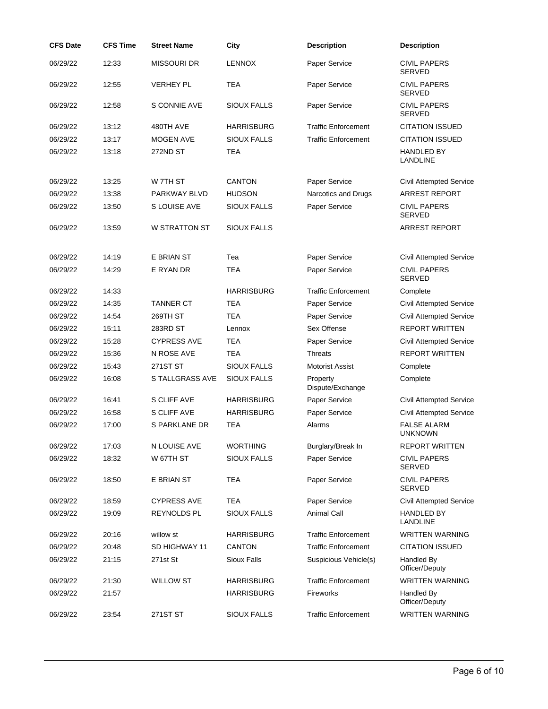| <b>CFS Date</b> | <b>CFS Time</b> | <b>Street Name</b>   | City               | <b>Description</b>           | <b>Description</b>                   |
|-----------------|-----------------|----------------------|--------------------|------------------------------|--------------------------------------|
| 06/29/22        | 12:33           | <b>MISSOURI DR</b>   | <b>LENNOX</b>      | Paper Service                | <b>CIVIL PAPERS</b><br><b>SERVED</b> |
| 06/29/22        | 12:55           | <b>VERHEY PL</b>     | <b>TEA</b>         | Paper Service                | <b>CIVIL PAPERS</b><br><b>SERVED</b> |
| 06/29/22        | 12:58           | S CONNIE AVE         | <b>SIOUX FALLS</b> | Paper Service                | <b>CIVIL PAPERS</b><br><b>SERVED</b> |
| 06/29/22        | 13:12           | 480TH AVE            | <b>HARRISBURG</b>  | <b>Traffic Enforcement</b>   | <b>CITATION ISSUED</b>               |
| 06/29/22        | 13:17           | <b>MOGEN AVE</b>     | <b>SIOUX FALLS</b> | <b>Traffic Enforcement</b>   | <b>CITATION ISSUED</b>               |
| 06/29/22        | 13:18           | 272ND ST             | <b>TEA</b>         |                              | <b>HANDLED BY</b><br><b>LANDLINE</b> |
| 06/29/22        | 13:25           | W 7TH ST             | <b>CANTON</b>      | Paper Service                | <b>Civil Attempted Service</b>       |
| 06/29/22        | 13:38           | <b>PARKWAY BLVD</b>  | <b>HUDSON</b>      | Narcotics and Drugs          | ARREST REPORT                        |
| 06/29/22        | 13:50           | S LOUISE AVE         | <b>SIOUX FALLS</b> | Paper Service                | <b>CIVIL PAPERS</b><br>SERVED        |
| 06/29/22        | 13:59           | <b>W STRATTON ST</b> | <b>SIOUX FALLS</b> |                              | <b>ARREST REPORT</b>                 |
| 06/29/22        | 14:19           | E BRIAN ST           | Tea                | Paper Service                | <b>Civil Attempted Service</b>       |
| 06/29/22        | 14:29           | E RYAN DR            | <b>TEA</b>         | Paper Service                | <b>CIVIL PAPERS</b><br><b>SERVED</b> |
| 06/29/22        | 14:33           |                      | <b>HARRISBURG</b>  | <b>Traffic Enforcement</b>   | Complete                             |
| 06/29/22        | 14:35           | <b>TANNER CT</b>     | <b>TEA</b>         | Paper Service                | <b>Civil Attempted Service</b>       |
| 06/29/22        | 14:54           | 269TH ST             | <b>TEA</b>         | Paper Service                | <b>Civil Attempted Service</b>       |
| 06/29/22        | 15:11           | 283RD ST             | Lennox             | Sex Offense                  | <b>REPORT WRITTEN</b>                |
| 06/29/22        | 15:28           | <b>CYPRESS AVE</b>   | <b>TEA</b>         | Paper Service                | Civil Attempted Service              |
| 06/29/22        | 15:36           | N ROSE AVE           | <b>TEA</b>         | <b>Threats</b>               | <b>REPORT WRITTEN</b>                |
| 06/29/22        | 15:43           | 271ST ST             | <b>SIOUX FALLS</b> | <b>Motorist Assist</b>       | Complete                             |
| 06/29/22        | 16:08           | S TALLGRASS AVE      | <b>SIOUX FALLS</b> | Property<br>Dispute/Exchange | Complete                             |
| 06/29/22        | 16:41           | S CLIFF AVE          | <b>HARRISBURG</b>  | Paper Service                | <b>Civil Attempted Service</b>       |
| 06/29/22        | 16:58           | S CLIFF AVE          | <b>HARRISBURG</b>  | Paper Service                | <b>Civil Attempted Service</b>       |
| 06/29/22        | 17:00           | S PARKLANE DR        | <b>TEA</b>         | Alarms                       | <b>FALSE ALARM</b><br><b>UNKNOWN</b> |
| 06/29/22        | 17:03           | N LOUISE AVE         | <b>WORTHING</b>    | Burglary/Break In            | <b>REPORT WRITTEN</b>                |
| 06/29/22        | 18:32           | W 67TH ST            | <b>SIOUX FALLS</b> | Paper Service                | <b>CIVIL PAPERS</b><br><b>SERVED</b> |
| 06/29/22        | 18:50           | E BRIAN ST           | <b>TEA</b>         | Paper Service                | <b>CIVIL PAPERS</b><br><b>SERVED</b> |
| 06/29/22        | 18:59           | <b>CYPRESS AVE</b>   | <b>TEA</b>         | Paper Service                | <b>Civil Attempted Service</b>       |
| 06/29/22        | 19:09           | <b>REYNOLDS PL</b>   | <b>SIOUX FALLS</b> | <b>Animal Call</b>           | <b>HANDLED BY</b><br>LANDLINE        |
| 06/29/22        | 20:16           | willow st            | <b>HARRISBURG</b>  | <b>Traffic Enforcement</b>   | <b>WRITTEN WARNING</b>               |
| 06/29/22        | 20:48           | SD HIGHWAY 11        | <b>CANTON</b>      | <b>Traffic Enforcement</b>   | <b>CITATION ISSUED</b>               |
| 06/29/22        | 21:15           | 271st St             | Sioux Falls        | Suspicious Vehicle(s)        | Handled By<br>Officer/Deputy         |
| 06/29/22        | 21:30           | <b>WILLOW ST</b>     | <b>HARRISBURG</b>  | <b>Traffic Enforcement</b>   | <b>WRITTEN WARNING</b>               |
| 06/29/22        | 21:57           |                      | <b>HARRISBURG</b>  | Fireworks                    | Handled By<br>Officer/Deputy         |
| 06/29/22        | 23:54           | 271ST ST             | <b>SIOUX FALLS</b> | <b>Traffic Enforcement</b>   | <b>WRITTEN WARNING</b>               |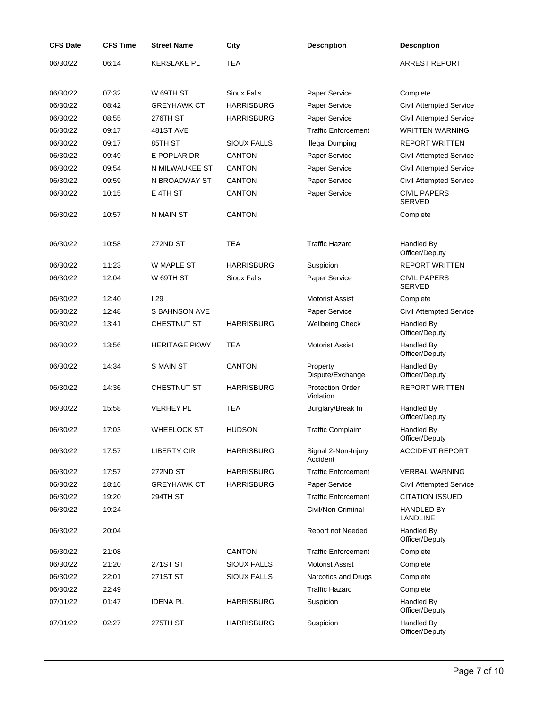| <b>CFS Date</b> | <b>CFS Time</b> | <b>Street Name</b>   | City               | <b>Description</b>                   | <b>Description</b>                   |
|-----------------|-----------------|----------------------|--------------------|--------------------------------------|--------------------------------------|
| 06/30/22        | 06:14           | <b>KERSLAKE PL</b>   | <b>TEA</b>         |                                      | <b>ARREST REPORT</b>                 |
|                 |                 |                      |                    |                                      |                                      |
| 06/30/22        | 07:32           | W 69TH ST            | <b>Sioux Falls</b> | Paper Service                        | Complete                             |
| 06/30/22        | 08:42           | <b>GREYHAWK CT</b>   | <b>HARRISBURG</b>  | Paper Service                        | Civil Attempted Service              |
| 06/30/22        | 08:55           | 276TH ST             | <b>HARRISBURG</b>  | Paper Service                        | <b>Civil Attempted Service</b>       |
| 06/30/22        | 09:17           | 481ST AVE            |                    | <b>Traffic Enforcement</b>           | <b>WRITTEN WARNING</b>               |
| 06/30/22        | 09:17           | 85TH ST              | <b>SIOUX FALLS</b> | <b>Illegal Dumping</b>               | <b>REPORT WRITTEN</b>                |
| 06/30/22        | 09:49           | E POPLAR DR          | <b>CANTON</b>      | Paper Service                        | <b>Civil Attempted Service</b>       |
| 06/30/22        | 09:54           | N MILWAUKEE ST       | <b>CANTON</b>      | Paper Service                        | <b>Civil Attempted Service</b>       |
| 06/30/22        | 09:59           | N BROADWAY ST        | <b>CANTON</b>      | Paper Service                        | <b>Civil Attempted Service</b>       |
| 06/30/22        | 10:15           | E 4TH ST             | <b>CANTON</b>      | Paper Service                        | <b>CIVIL PAPERS</b><br><b>SERVED</b> |
| 06/30/22        | 10:57           | N MAIN ST            | <b>CANTON</b>      |                                      | Complete                             |
|                 |                 | 272ND ST             | <b>TEA</b>         | <b>Traffic Hazard</b>                |                                      |
| 06/30/22        | 10:58           |                      |                    |                                      | Handled By<br>Officer/Deputy         |
| 06/30/22        | 11:23           | W MAPLE ST           | <b>HARRISBURG</b>  | Suspicion                            | REPORT WRITTEN                       |
| 06/30/22        | 12:04           | W 69TH ST            | <b>Sioux Falls</b> | Paper Service                        | <b>CIVIL PAPERS</b><br><b>SERVED</b> |
| 06/30/22        | 12:40           | 129                  |                    | <b>Motorist Assist</b>               | Complete                             |
| 06/30/22        | 12:48           | S BAHNSON AVE        |                    | Paper Service                        | <b>Civil Attempted Service</b>       |
| 06/30/22        | 13:41           | <b>CHESTNUT ST</b>   | <b>HARRISBURG</b>  | <b>Wellbeing Check</b>               | Handled By<br>Officer/Deputy         |
| 06/30/22        | 13:56           | <b>HERITAGE PKWY</b> | TEA                | <b>Motorist Assist</b>               | Handled By<br>Officer/Deputy         |
| 06/30/22        | 14:34           | S MAIN ST            | <b>CANTON</b>      | Property<br>Dispute/Exchange         | Handled By<br>Officer/Deputy         |
| 06/30/22        | 14:36           | <b>CHESTNUT ST</b>   | <b>HARRISBURG</b>  | <b>Protection Order</b><br>Violation | <b>REPORT WRITTEN</b>                |
| 06/30/22        | 15:58           | <b>VERHEY PL</b>     | <b>TEA</b>         | Burglary/Break In                    | Handled By<br>Officer/Deputy         |
| 06/30/22        | 17:03           | <b>WHEELOCK ST</b>   | <b>HUDSON</b>      | <b>Traffic Complaint</b>             | Handled By<br>Officer/Deputy         |
| 06/30/22        | 17:57           | <b>LIBERTY CIR</b>   | <b>HARRISBURG</b>  | Signal 2-Non-Injury<br>Accident      | <b>ACCIDENT REPORT</b>               |
| 06/30/22        | 17:57           | 272ND ST             | <b>HARRISBURG</b>  | <b>Traffic Enforcement</b>           | <b>VERBAL WARNING</b>                |
| 06/30/22        | 18:16           | <b>GREYHAWK CT</b>   | <b>HARRISBURG</b>  | Paper Service                        | <b>Civil Attempted Service</b>       |
| 06/30/22        | 19:20           | 294TH ST             |                    | <b>Traffic Enforcement</b>           | <b>CITATION ISSUED</b>               |
| 06/30/22        | 19:24           |                      |                    | Civil/Non Criminal                   | <b>HANDLED BY</b><br><b>LANDLINE</b> |
| 06/30/22        | 20:04           |                      |                    | Report not Needed                    | Handled By<br>Officer/Deputy         |
| 06/30/22        | 21:08           |                      | <b>CANTON</b>      | <b>Traffic Enforcement</b>           | Complete                             |
| 06/30/22        | 21:20           | 271ST ST             | <b>SIOUX FALLS</b> | <b>Motorist Assist</b>               | Complete                             |
| 06/30/22        | 22:01           | 271ST ST             | <b>SIOUX FALLS</b> | Narcotics and Drugs                  | Complete                             |
| 06/30/22        | 22:49           |                      |                    | <b>Traffic Hazard</b>                | Complete                             |
| 07/01/22        | 01:47           | <b>IDENA PL</b>      | <b>HARRISBURG</b>  | Suspicion                            | Handled By<br>Officer/Deputy         |
| 07/01/22        | 02:27           | <b>275TH ST</b>      | <b>HARRISBURG</b>  | Suspicion                            | Handled By<br>Officer/Deputy         |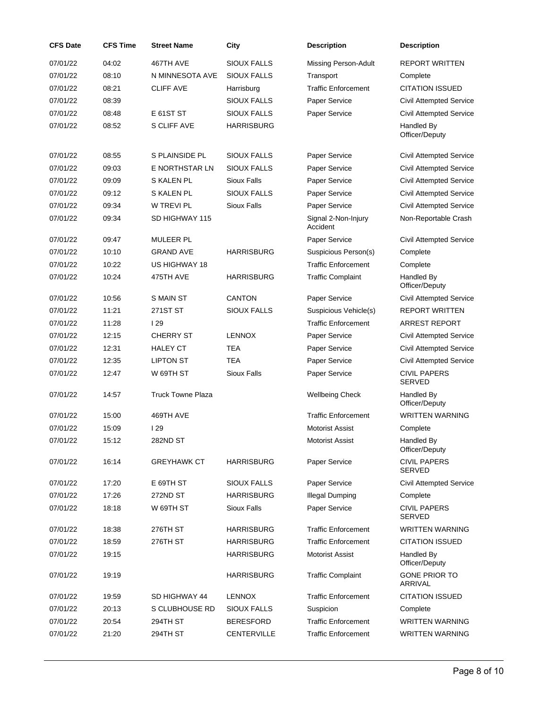| <b>CFS Date</b> | <b>CFS Time</b> | <b>Street Name</b>       | City               | <b>Description</b>              | <b>Description</b>                     |
|-----------------|-----------------|--------------------------|--------------------|---------------------------------|----------------------------------------|
| 07/01/22        | 04:02           | 467TH AVE                | <b>SIOUX FALLS</b> | <b>Missing Person-Adult</b>     | <b>REPORT WRITTEN</b>                  |
| 07/01/22        | 08:10           | N MINNESOTA AVE          | <b>SIOUX FALLS</b> | Transport                       | Complete                               |
| 07/01/22        | 08:21           | <b>CLIFF AVE</b>         | Harrisburg         | <b>Traffic Enforcement</b>      | <b>CITATION ISSUED</b>                 |
| 07/01/22        | 08:39           |                          | <b>SIOUX FALLS</b> | Paper Service                   | <b>Civil Attempted Service</b>         |
| 07/01/22        | 08:48           | E 61ST ST                | SIOUX FALLS        | Paper Service                   | <b>Civil Attempted Service</b>         |
| 07/01/22        | 08:52           | S CLIFF AVE              | <b>HARRISBURG</b>  |                                 | Handled By<br>Officer/Deputy           |
| 07/01/22        | 08:55           | S PLAINSIDE PL           | <b>SIOUX FALLS</b> | Paper Service                   | <b>Civil Attempted Service</b>         |
| 07/01/22        | 09:03           | E NORTHSTAR LN           | <b>SIOUX FALLS</b> | Paper Service                   | <b>Civil Attempted Service</b>         |
| 07/01/22        | 09:09           | <b>S KALEN PL</b>        | <b>Sioux Falls</b> | Paper Service                   | <b>Civil Attempted Service</b>         |
| 07/01/22        | 09:12           | <b>S KALEN PL</b>        | <b>SIOUX FALLS</b> | Paper Service                   | <b>Civil Attempted Service</b>         |
| 07/01/22        | 09:34           | <b>W TREVI PL</b>        | Sioux Falls        | Paper Service                   | <b>Civil Attempted Service</b>         |
| 07/01/22        | 09:34           | SD HIGHWAY 115           |                    | Signal 2-Non-Injury<br>Accident | Non-Reportable Crash                   |
| 07/01/22        | 09:47           | <b>MULEER PL</b>         |                    | Paper Service                   | <b>Civil Attempted Service</b>         |
| 07/01/22        | 10:10           | <b>GRAND AVE</b>         | <b>HARRISBURG</b>  | Suspicious Person(s)            | Complete                               |
| 07/01/22        | 10:22           | US HIGHWAY 18            |                    | <b>Traffic Enforcement</b>      | Complete                               |
| 07/01/22        | 10:24           | 475TH AVE                | <b>HARRISBURG</b>  | <b>Traffic Complaint</b>        | Handled By<br>Officer/Deputy           |
| 07/01/22        | 10:56           | S MAIN ST                | <b>CANTON</b>      | Paper Service                   | Civil Attempted Service                |
| 07/01/22        | 11:21           | 271ST ST                 | <b>SIOUX FALLS</b> | Suspicious Vehicle(s)           | <b>REPORT WRITTEN</b>                  |
| 07/01/22        | 11:28           | 129                      |                    | <b>Traffic Enforcement</b>      | <b>ARREST REPORT</b>                   |
| 07/01/22        | 12:15           | <b>CHERRY ST</b>         | <b>LENNOX</b>      | Paper Service                   | <b>Civil Attempted Service</b>         |
| 07/01/22        | 12:31           | <b>HALEY CT</b>          | <b>TEA</b>         | Paper Service                   | <b>Civil Attempted Service</b>         |
| 07/01/22        | 12:35           | <b>LIPTON ST</b>         | <b>TEA</b>         | Paper Service                   | <b>Civil Attempted Service</b>         |
| 07/01/22        | 12:47           | W 69TH ST                | <b>Sioux Falls</b> | Paper Service                   | <b>CIVIL PAPERS</b><br><b>SERVED</b>   |
| 07/01/22        | 14:57           | <b>Truck Towne Plaza</b> |                    | <b>Wellbeing Check</b>          | Handled By<br>Officer/Deputy           |
| 07/01/22        | 15:00           | 469TH AVE                |                    | <b>Traffic Enforcement</b>      | <b>WRITTEN WARNING</b>                 |
| 07/01/22        | 15:09           | 129                      |                    | <b>Motorist Assist</b>          | Complete                               |
| 07/01/22        | 15:12           | 282ND ST                 |                    | <b>Motorist Assist</b>          | Handled By<br>Officer/Deputy           |
| 07/01/22        | 16:14           | <b>GREYHAWK CT</b>       | <b>HARRISBURG</b>  | Paper Service                   | <b>CIVIL PAPERS</b><br><b>SERVED</b>   |
| 07/01/22        | 17:20           | E 69TH ST                | <b>SIOUX FALLS</b> | Paper Service                   | <b>Civil Attempted Service</b>         |
| 07/01/22        | 17:26           | 272ND ST                 | <b>HARRISBURG</b>  | <b>Illegal Dumping</b>          | Complete                               |
| 07/01/22        | 18:18           | W 69TH ST                | <b>Sioux Falls</b> | Paper Service                   | <b>CIVIL PAPERS</b><br><b>SERVED</b>   |
| 07/01/22        | 18:38           | 276TH ST                 | <b>HARRISBURG</b>  | <b>Traffic Enforcement</b>      | <b>WRITTEN WARNING</b>                 |
| 07/01/22        | 18:59           | 276TH ST                 | <b>HARRISBURG</b>  | <b>Traffic Enforcement</b>      | <b>CITATION ISSUED</b>                 |
| 07/01/22        | 19:15           |                          | <b>HARRISBURG</b>  | <b>Motorist Assist</b>          | Handled By<br>Officer/Deputy           |
| 07/01/22        | 19:19           |                          | <b>HARRISBURG</b>  | <b>Traffic Complaint</b>        | <b>GONE PRIOR TO</b><br><b>ARRIVAL</b> |
| 07/01/22        | 19:59           | SD HIGHWAY 44            | <b>LENNOX</b>      | <b>Traffic Enforcement</b>      | <b>CITATION ISSUED</b>                 |
| 07/01/22        | 20:13           | S CLUBHOUSE RD           | <b>SIOUX FALLS</b> | Suspicion                       | Complete                               |
| 07/01/22        | 20:54           | 294TH ST                 | <b>BERESFORD</b>   | <b>Traffic Enforcement</b>      | <b>WRITTEN WARNING</b>                 |
| 07/01/22        | 21:20           | 294TH ST                 | CENTERVILLE        | <b>Traffic Enforcement</b>      | <b>WRITTEN WARNING</b>                 |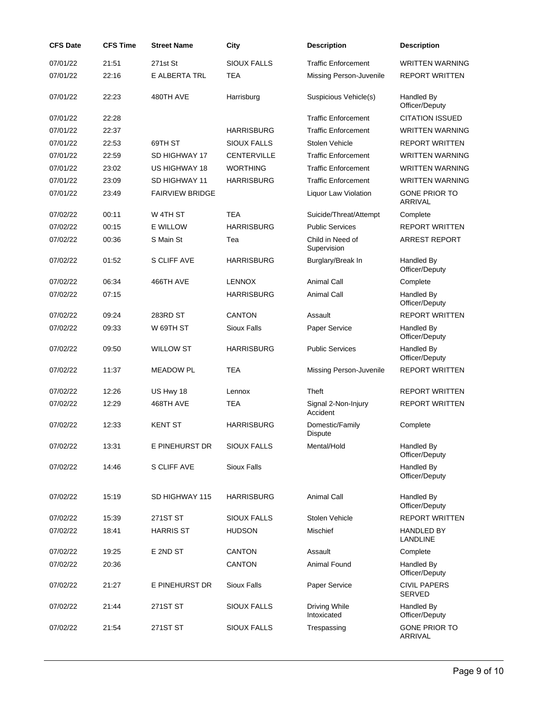| <b>CFS Date</b> | <b>CFS Time</b> | <b>Street Name</b>     | City               | <b>Description</b>              | <b>Description</b>                     |
|-----------------|-----------------|------------------------|--------------------|---------------------------------|----------------------------------------|
| 07/01/22        | 21:51           | 271st St               | <b>SIOUX FALLS</b> | <b>Traffic Enforcement</b>      | <b>WRITTEN WARNING</b>                 |
| 07/01/22        | 22:16           | E ALBERTA TRL          | <b>TEA</b>         | Missing Person-Juvenile         | <b>REPORT WRITTEN</b>                  |
| 07/01/22        | 22:23           | 480TH AVE              | Harrisburg         | Suspicious Vehicle(s)           | Handled By<br>Officer/Deputy           |
| 07/01/22        | 22:28           |                        |                    | <b>Traffic Enforcement</b>      | <b>CITATION ISSUED</b>                 |
| 07/01/22        | 22:37           |                        | <b>HARRISBURG</b>  | <b>Traffic Enforcement</b>      | <b>WRITTEN WARNING</b>                 |
| 07/01/22        | 22:53           | 69TH ST                | <b>SIOUX FALLS</b> | Stolen Vehicle                  | <b>REPORT WRITTEN</b>                  |
| 07/01/22        | 22:59           | SD HIGHWAY 17          | <b>CENTERVILLE</b> | <b>Traffic Enforcement</b>      | <b>WRITTEN WARNING</b>                 |
| 07/01/22        | 23:02           | US HIGHWAY 18          | <b>WORTHING</b>    | <b>Traffic Enforcement</b>      | WRITTEN WARNING                        |
| 07/01/22        | 23:09           | SD HIGHWAY 11          | <b>HARRISBURG</b>  | <b>Traffic Enforcement</b>      | <b>WRITTEN WARNING</b>                 |
| 07/01/22        | 23:49           | <b>FAIRVIEW BRIDGE</b> |                    | Liquor Law Violation            | <b>GONE PRIOR TO</b><br><b>ARRIVAL</b> |
| 07/02/22        | 00:11           | W 4TH ST               | <b>TEA</b>         | Suicide/Threat/Attempt          | Complete                               |
| 07/02/22        | 00:15           | <b>E WILLOW</b>        | <b>HARRISBURG</b>  | <b>Public Services</b>          | <b>REPORT WRITTEN</b>                  |
| 07/02/22        | 00:36           | S Main St              | Tea                | Child in Need of<br>Supervision | <b>ARREST REPORT</b>                   |
| 07/02/22        | 01:52           | S CLIFF AVE            | <b>HARRISBURG</b>  | Burglary/Break In               | Handled By<br>Officer/Deputy           |
| 07/02/22        | 06:34           | 466TH AVE              | <b>LENNOX</b>      | <b>Animal Call</b>              | Complete                               |
| 07/02/22        | 07:15           |                        | <b>HARRISBURG</b>  | Animal Call                     | Handled By<br>Officer/Deputy           |
| 07/02/22        | 09:24           | 283RD ST               | <b>CANTON</b>      | Assault                         | <b>REPORT WRITTEN</b>                  |
| 07/02/22        | 09:33           | W 69TH ST              | Sioux Falls        | Paper Service                   | Handled By<br>Officer/Deputy           |
| 07/02/22        | 09:50           | <b>WILLOW ST</b>       | <b>HARRISBURG</b>  | <b>Public Services</b>          | Handled By<br>Officer/Deputy           |
| 07/02/22        | 11:37           | <b>MEADOW PL</b>       | <b>TEA</b>         | Missing Person-Juvenile         | <b>REPORT WRITTEN</b>                  |
| 07/02/22        | 12:26           | US Hwy 18              | Lennox             | Theft                           | <b>REPORT WRITTEN</b>                  |
| 07/02/22        | 12:29           | 468TH AVE              | <b>TEA</b>         | Signal 2-Non-Injury<br>Accident | <b>REPORT WRITTEN</b>                  |
| 07/02/22        | 12:33           | <b>KENT ST</b>         | <b>HARRISBURG</b>  | Domestic/Family<br>Dispute      | Complete                               |
| 07/02/22        | 13:31           | E PINEHURST DR         | <b>SIOUX FALLS</b> | Mental/Hold                     | Handled By<br>Officer/Deputy           |
| 07/02/22        | 14:46           | S CLIFF AVE            | <b>Sioux Falls</b> |                                 | Handled By<br>Officer/Deputy           |
| 07/02/22        | 15:19           | SD HIGHWAY 115         | <b>HARRISBURG</b>  | <b>Animal Call</b>              | Handled By<br>Officer/Deputy           |
| 07/02/22        | 15:39           | 271ST ST               | <b>SIOUX FALLS</b> | Stolen Vehicle                  | <b>REPORT WRITTEN</b>                  |
| 07/02/22        | 18:41           | <b>HARRIS ST</b>       | <b>HUDSON</b>      | Mischief                        | <b>HANDLED BY</b><br>LANDLINE          |
| 07/02/22        | 19:25           | E 2ND ST               | <b>CANTON</b>      | Assault                         | Complete                               |
| 07/02/22        | 20:36           |                        | <b>CANTON</b>      | Animal Found                    | Handled By<br>Officer/Deputy           |
| 07/02/22        | 21:27           | E PINEHURST DR         | <b>Sioux Falls</b> | Paper Service                   | <b>CIVIL PAPERS</b><br><b>SERVED</b>   |
| 07/02/22        | 21:44           | 271ST ST               | <b>SIOUX FALLS</b> | Driving While<br>Intoxicated    | Handled By<br>Officer/Deputy           |
| 07/02/22        | 21:54           | 271ST ST               | <b>SIOUX FALLS</b> | Trespassing                     | <b>GONE PRIOR TO</b><br>ARRIVAL        |